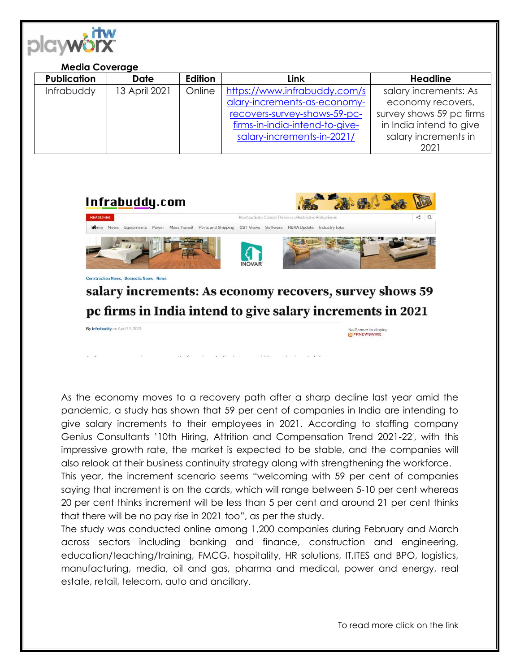

## **Media Coverage**

| <b>Publication</b> | <b>Date</b>   | Edition | <b>Link</b>                    | <b>Headline</b>          |
|--------------------|---------------|---------|--------------------------------|--------------------------|
| Infrabuddy         | 13 April 2021 | Online  | https://www.infrabuddy.com/s   | salary increments: As    |
|                    |               |         | alary-increments-as-economy-   | economy recovers,        |
|                    |               |         | recovers-survey-shows-59-pc-   | survey shows 59 pc firms |
|                    |               |         | firms-in-india-intend-to-give- | in India intend to give  |
|                    |               |         | salary-increments-in-2021/     | salary increments in     |
|                    |               |         |                                | 2021                     |



pc firms in India intend to give salary increments in 2021

By Infrabuddy on April 13, 2021 No Banner to display

As the economy moves to a recovery path after a sharp decline last year amid the pandemic, a study has shown that 59 per cent of companies in India are intending to give salary increments to their employees in 2021. According to staffing company Genius Consultants '10th Hiring, Attrition and Compensation Trend 2021-22′, with this impressive growth rate, the market is expected to be stable, and the companies will also relook at their business continuity strategy along with strengthening the workforce.

This year, the increment scenario seems "welcoming with 59 per cent of companies saying that increment is on the cards, which will range between 5-10 per cent whereas 20 per cent thinks increment will be less than 5 per cent and around 21 per cent thinks that there will be no pay rise in 2021 too", as per the study.

The study was conducted online among 1,200 companies during February and March across sectors including banking and finance, construction and engineering, education/teaching/training, FMCG, hospitality, HR solutions, IT,ITES and BPO, logistics, manufacturing, media, oil and gas, pharma and medical, power and energy, real estate, retail, telecom, auto and ancillary.

To read more click on the link